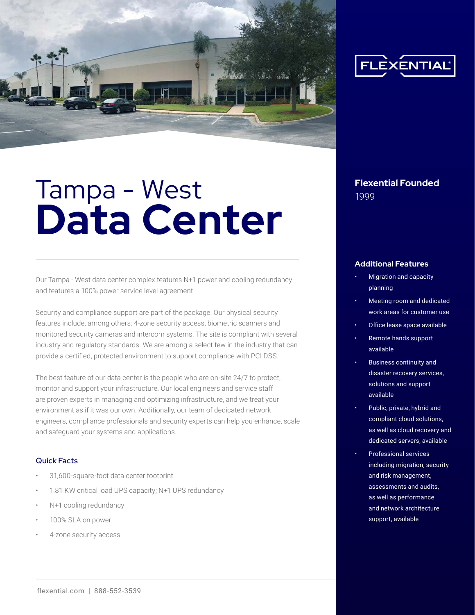

# Tampa - West **Flexential Founded Data Center**

Our Tampa - West data center complex features N+1 power and cooling redundancy and features a 100% power service level agreement.

Security and compliance support are part of the package. Our physical security features include, among others: 4-zone security access, biometric scanners and monitored security cameras and intercom systems. The site is compliant with several industry and regulatory standards. We are among a select few in the industry that can provide a certified, protected environment to support compliance with PCI DSS.

The best feature of our data center is the people who are on-site 24/7 to protect, monitor and support your infrastructure. Our local engineers and service staff are proven experts in managing and optimizing infrastructure, and we treat your environment as if it was our own. Additionally, our team of dedicated network engineers, compliance professionals and security experts can help you enhance, scale and safeguard your systems and applications.

#### Quick Facts

- 31,600-square-foot data center footprint
- 1.81 KW critical load UPS capacity; N+1 UPS redundancy
- N+1 cooling redundancy
- 100% SLA on power
- 4-zone security access



#### **Additional Features**

- Migration and capacity planning
- Meeting room and dedicated work areas for customer use
- Office lease space available
- Remote hands support available
- Business continuity and disaster recovery services, solutions and support available
- Public, private, hybrid and compliant cloud solutions, as well as cloud recovery and dedicated servers, available
- Professional services including migration, security and risk management, assessments and audits, as well as performance and network architecture support, available